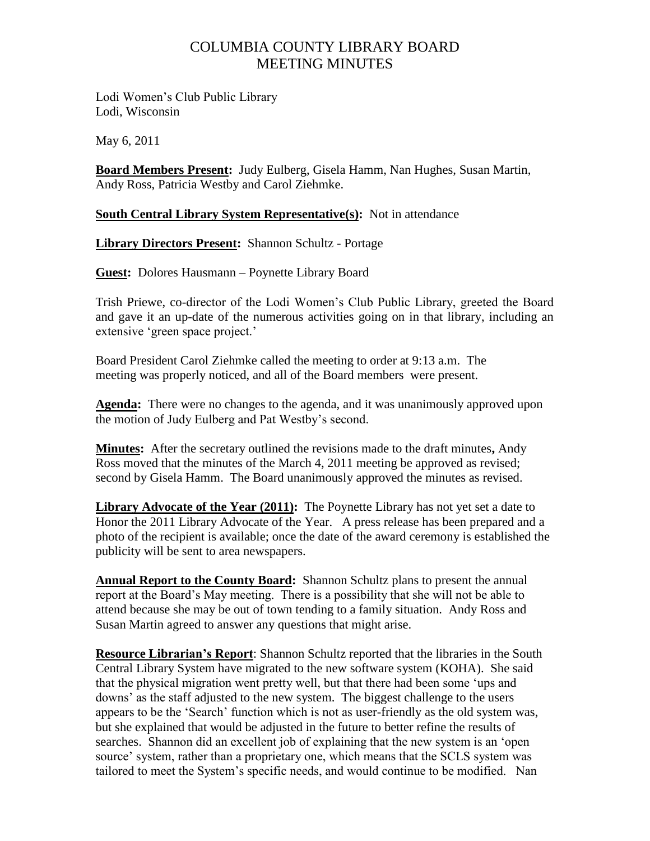## COLUMBIA COUNTY LIBRARY BOARD MEETING MINUTES

Lodi Women"s Club Public Library Lodi, Wisconsin

May 6, 2011

**Board Members Present:** Judy Eulberg, Gisela Hamm, Nan Hughes, Susan Martin, Andy Ross, Patricia Westby and Carol Ziehmke.

## **<u>South Central Library System Representative(s)</u>: Not in attendance**

**Library Directors Present:** Shannon Schultz - Portage

**Guest:** Dolores Hausmann – Poynette Library Board

Trish Priewe, co-director of the Lodi Women"s Club Public Library, greeted the Board and gave it an up-date of the numerous activities going on in that library, including an extensive 'green space project.'

Board President Carol Ziehmke called the meeting to order at 9:13 a.m. The meeting was properly noticed, and all of the Board members were present.

**Agenda:** There were no changes to the agenda, and it was unanimously approved upon the motion of Judy Eulberg and Pat Westby"s second.

**Minutes:** After the secretary outlined the revisions made to the draft minutes**,** Andy Ross moved that the minutes of the March 4, 2011 meeting be approved as revised; second by Gisela Hamm. The Board unanimously approved the minutes as revised.

**Library Advocate of the Year (2011):** The Poynette Library has not yet set a date to Honor the 2011 Library Advocate of the Year. A press release has been prepared and a photo of the recipient is available; once the date of the award ceremony is established the publicity will be sent to area newspapers.

**Annual Report to the County Board:** Shannon Schultz plans to present the annual report at the Board"s May meeting. There is a possibility that she will not be able to attend because she may be out of town tending to a family situation. Andy Ross and Susan Martin agreed to answer any questions that might arise.

**Resource Librarian's Report**: Shannon Schultz reported that the libraries in the South Central Library System have migrated to the new software system (KOHA). She said that the physical migration went pretty well, but that there had been some "ups and downs' as the staff adjusted to the new system. The biggest challenge to the users appears to be the "Search" function which is not as user-friendly as the old system was, but she explained that would be adjusted in the future to better refine the results of searches. Shannon did an excellent job of explaining that the new system is an "open source' system, rather than a proprietary one, which means that the SCLS system was tailored to meet the System"s specific needs, and would continue to be modified. Nan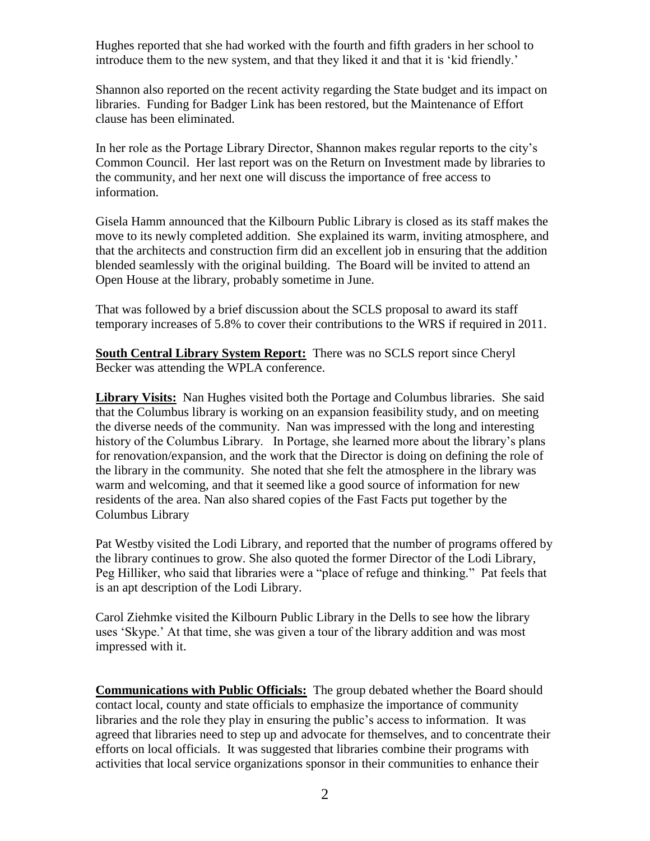Hughes reported that she had worked with the fourth and fifth graders in her school to introduce them to the new system, and that they liked it and that it is "kid friendly."

Shannon also reported on the recent activity regarding the State budget and its impact on libraries. Funding for Badger Link has been restored, but the Maintenance of Effort clause has been eliminated.

In her role as the Portage Library Director, Shannon makes regular reports to the city"s Common Council. Her last report was on the Return on Investment made by libraries to the community, and her next one will discuss the importance of free access to information.

Gisela Hamm announced that the Kilbourn Public Library is closed as its staff makes the move to its newly completed addition. She explained its warm, inviting atmosphere, and that the architects and construction firm did an excellent job in ensuring that the addition blended seamlessly with the original building. The Board will be invited to attend an Open House at the library, probably sometime in June.

That was followed by a brief discussion about the SCLS proposal to award its staff temporary increases of 5.8% to cover their contributions to the WRS if required in 2011.

**South Central Library System Report:** There was no SCLS report since Cheryl Becker was attending the WPLA conference.

**Library Visits:** Nan Hughes visited both the Portage and Columbus libraries. She said that the Columbus library is working on an expansion feasibility study, and on meeting the diverse needs of the community. Nan was impressed with the long and interesting history of the Columbus Library. In Portage, she learned more about the library's plans for renovation/expansion, and the work that the Director is doing on defining the role of the library in the community. She noted that she felt the atmosphere in the library was warm and welcoming, and that it seemed like a good source of information for new residents of the area. Nan also shared copies of the Fast Facts put together by the Columbus Library

Pat Westby visited the Lodi Library, and reported that the number of programs offered by the library continues to grow. She also quoted the former Director of the Lodi Library, Peg Hilliker, who said that libraries were a "place of refuge and thinking." Pat feels that is an apt description of the Lodi Library.

Carol Ziehmke visited the Kilbourn Public Library in the Dells to see how the library uses "Skype." At that time, she was given a tour of the library addition and was most impressed with it.

**Communications with Public Officials:** The group debated whether the Board should contact local, county and state officials to emphasize the importance of community libraries and the role they play in ensuring the public's access to information. It was agreed that libraries need to step up and advocate for themselves, and to concentrate their efforts on local officials. It was suggested that libraries combine their programs with activities that local service organizations sponsor in their communities to enhance their